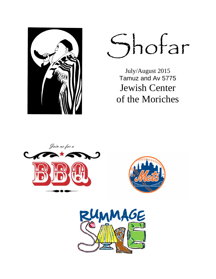

Shofar

July/August 2015 Tamuz and Av 5775 Jewish Center of the Moriches





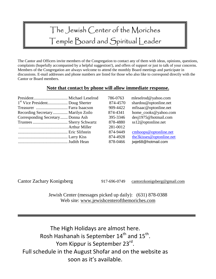# The Jewish Center of the Moriches Temple Board and Spiritual Leader

The Cantor and Officers invite members of the Congregation to contact any of them with ideas, opinions, questions, complaints (hopefully accompanied by a helpful suggestion!), and offers of support or just to talk of your concerns. Members of the Congregation are always welcome to attend the monthly Board meetings and participate in discussions. E-mail addresses and phone numbers are listed for those who also like to correspond directly with the Cantor or Board members.

### **Note that contact by phone will allow immediate response.**

|                                   | 786-0763 | mleselrod@yahoo.com      |
|-----------------------------------|----------|--------------------------|
|                                   | 874-4570 | shardou@optonline.net    |
| Treasurer  Farra Isaacson         | 909-4422 | mfisaac@optonline.net    |
| Recording Secretary Marilyn Zoilo | 874-4341 | home_cooks@yahoo.com     |
| Corresponding Secretary Donna Ash | 395-3346 | desj1975@hotmail.com     |
|                                   | 878-4880 | ss12@optonline.net       |
|                                   | 281-0012 |                          |
|                                   | 874-9449 | cmhoops@optonline.net    |
|                                   | 874-4928 | the3kisses@optonline.net |
|                                   | 878-0466 | jwje68@hotmail.com       |
|                                   |          |                          |

Cantor Zachary Konigsberg 917-696-0749 cantorzkonigsberg@gmail.com

Jewish Center (messages picked up daily): (631) 878-0388 Web site: www.jewishcenterofthemoriches.com

The High Holidays are almost here. Rosh Hashanah is September  $14<sup>th</sup>$  and  $15<sup>th</sup>$ . Yom Kippur is September 23<sup>rd</sup>. Full schedule in the August Shofar and on the website as soon as it's available.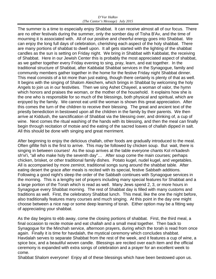#### *D'Var HaRav (The Cantor's Message) July 2015*

The summer is a time to especially enjoy Shabbat. It can receive almost all of our focus. There are no other festivals during the summer, only the somber day of Tisha B'Av, and the time of mourning it is associated with. All of our positive and cheerful energy goes into Shabbat. We can enjoy the long full days of celebration, cherishing each aspect of the holy shabbat. There are many portions of shabbat to dwell upon. It all gets started with the lighting of the shabbat candles as the sun is setting on Friday night. We bring in Shabbat with Kabbalat, the receiving of Shabbat. Here in our Jewish Center this is probably the most appreciated aspect of shabbat, as we gather together every Friday evening to sing, pray, learn, and eat together. In the traditional structure of Shabbat, after Kabbalat Shabbat services in the Synagogue, family and community members gather together in the home for the festive Friday night Shabbat dinner. This meal consists of a lot more than just eating, though there certainly is plenty of that as well. It begins with the singing of Shalom Aleichem, which brings in Shabbat by welcoming the holy Angels to join us in our festivities. Then we sing Ashet Chayeel, a woman of valor, the hymn which honors and praises the woman, or the mother of the household. It explains how she is the one who is responsible for so much of the blessings, both physical and spiritual, which are enjoyed by the family. We cannot eat until the woman is shown this great appreciation. After this comes the turn of the children to receive their blessing. The great and ancient text of the priestly benediction in bestowed upon all the children in the family by their parents. We then arrive at Kiddush, the sanctification of Shabbat via the blessing over, and drinking of, a cup of wine. Next comes the ritual washing of the hands with its blessing, and then the meal can finally begin through recitation of motsie and the eating of the sacred loaves of challah dipped in salt. All this should be done with singing and great merriment.

After beginning to enjoy the delicious challah, other foods are gradually introduced to the meal. Often gifilte fish is the first to arrive. This may be followed by chicken soup. But wait, there is singing in between courses! As the soup arrives at the table everyone chants Kol m'kadesh sh'vi'i, "all who make holy the seventh day"… After soup come the main courses; perhaps chicken, brisket, or other traditional family dishes. Potato kugel, nudel kugel, and vegetables. All is accompanied by more zemirot, traditional songs sung around the shabbat table. After eating desert the grace after meals is recited with its special, festive Sabbath additions. Following a good night's sleep the order of the Sabbath continues with Synagogue services in the morning. This is a lengthy set of prayers including many special features for Shabbat and a a large portion of the Torah which is read as well. Many Jews spend 2, 3, or more hours in Synagogue every Shabbat morning. The rest of Shabbat day is filled with many customs and traditions as well. First, the celebratory Shabbat lunch. This meal, like the one the night before, also traditionally features many courses and much singing. At this point in the day one might choose between a nice nap or some deep learning of torah. Either option may be a fitting way of appreciating your shabbat.

As the day begins to ebb away, come the closing portions of shabbat. First, the third meal, a final occasion to recite motsie and eat challah and a small meal together. Then back to Synagogue for the Minchah service, afternoon prayers, during which the torah is read from once again. Finally it is time for havdalah, the mystical ceremony which concludes shabbat. Havdalah serves to separate Shabbat from the rest of the week, and it features a cup of wine, a spice box, and a beautiful woven candle. Blessings are recited over each item and the official ceremony is expanded with extra songs of celebration and a prayer for an excellent week to come.

Shabbat Shalom everyone! Enjoy all of these blessings which have been bestowed upon us.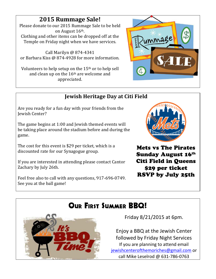# **2015 Rummage Sale!**

Please donate to our 2015 Rummage Sale to be held on August 16th. Clothing and other items can be dropped off at the Temple on Friday night when we have services.

Call Marilyn @ 874-4341 or Barbara Kiss @ 874-4928 for more information.

Volunteers to help setup on the 15th or to help sell and clean up on the 16th are welcome and appreciated.



## **Jewish Heritage Day at Citi Field**

Are you ready for a fun day with your friends from the Jewish Center?

The game begins at 1:00 and Jewish themed events will be taking place around the stadium before and during the game.

The cost for this event is \$29 per ticket, which is a discounted rate for our Synagogue group.

If you are interested in attending please contact Cantor Zachary by July 26th.

Feel free also to call with any questions, 917-696-0749. See you at the ball game!



Mets vs The Pirates Sunday August 16th Citi Field in Queens \$29 per ticket RSVP by July 25th

# Our First Summer BBQ!



Friday 8/21/2015 at 6pm.

Enjoy a BBQ at the Jewish Center followed by Friday Night Services If you are planning to attend email jewishcenterofthemoriches@gmail.com or call Mike Leselrod @ 631-786-0763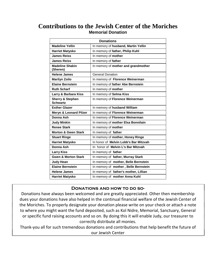## **Contributions to the Jewish Center of the Moriches Memorial Donation**

| <b>Donations</b>                               |                                       |  |  |  |
|------------------------------------------------|---------------------------------------|--|--|--|
| <b>Madeline Yellin</b>                         | In memory of husband, Martin Yellin   |  |  |  |
| <b>Harriet Matysko</b>                         | In memory of father, Philip Kuhl      |  |  |  |
| <b>James Reiss</b>                             | In memory of mother                   |  |  |  |
| <b>James Reiss</b>                             | In memory of father                   |  |  |  |
| <b>Madeline Shakin</b><br>(Sheren)             | In memory of mother and grandmother   |  |  |  |
| <b>Helene James</b>                            | <b>General Donation</b>               |  |  |  |
| <b>Marilyn Zoilo</b>                           | In memory of Florence Weinerman       |  |  |  |
| <b>Elaine Bernstein</b>                        | In memory of father Abe Bernstein     |  |  |  |
| <b>Ruth Scharf</b>                             | In memory of mother                   |  |  |  |
| Larry & Barbara Kiss                           | In memory of Selma Kiss               |  |  |  |
| <b>Sherry &amp; Stephen</b><br><b>Schwartz</b> | In memory of Florence Weinerman       |  |  |  |
| <b>Esther Glazer</b>                           | In memory of husband William          |  |  |  |
| <b>Meryn &amp; Leonard Pilzer</b>              | In memory of Florence Weinerman       |  |  |  |
| Donna Ash                                      | In memory of Florence Weinerman       |  |  |  |
| <b>Judy Minkin</b>                             | In memory of mother Elsa Bonnilain    |  |  |  |
| <b>Renee Stark</b>                             | In memory of mother                   |  |  |  |
| <b>Morton &amp; Gwen Stark</b>                 | In memory of father                   |  |  |  |
| <b>Stuart Ringe</b>                            | In memory of mother, Honey Ringe      |  |  |  |
| <b>Harriet Matysko</b>                         | In honor of Melvin Lobb's Bar Mitzvah |  |  |  |
| Donna Ash                                      | In honor of Melvin L's Bar Mitzvah    |  |  |  |
| <b>Larry Kiss</b>                              | In memory of father                   |  |  |  |
| <b>Gwen &amp; Morton Stark</b>                 | In memory of father, Murray Stark     |  |  |  |
| <b>Judy Hean</b>                               | In memory of mother, Belle Bernstein  |  |  |  |
| <b>Elaine Bernstein</b>                        | In memory of mother, Belle Bernstein  |  |  |  |
| <b>Helene James</b>                            | In memory of father's mother, Lillian |  |  |  |
| <b>Harriet Matysko</b>                         | In memory of mother Anna Kuhl         |  |  |  |

#### **Donations and how to do so-**

Donations have always been welcomed and are greatly appreciated. Other then membership dues your donations have also helped in the continual financial welfare of the Jewish Center of the Moriches. To properly designate your donation please write on your check or attach a note to where you might want the fund deposited, such as Kol Nidre, Memorial, Sanctuary, General or specific fund raising accounts and so on. By doing this it will enable Judy, our treasurer to correctly distribute all monies.

Thank-you all for such tremendous donations and contributions that help benefit the future of our Jewish Center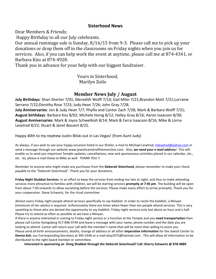#### **Sisterhood News**

Dear Members & Friends;

Happy Birthday to all our July celebrants.

Our annual rummage sale is Sunday, 8/16/15 from 9-3. Please call me to pick up your donations or drop them off in the classrooms on Friday nights when you join us for services. Also, if you can help work the event at anytime, please call me at 874-4341, or Barbara Kiss at 874-4928.

Thank you in advance for your help with our biggest fundraiser.

 Yours in Sisterhood, Marilyn Zoilo

### **Member News July / August**

**July Birthdays**: Shari Sherter 7/01; Meredith Wolff 7/10; Gail Mller 7/21;Brandon Mott 7/21;Lorraine Serrano 7/22;Dorothy Rose 7/23; Judy Hean 7/26; John Gray 7/28; **July Anniversaries**: Jon & Judy Hean 7/7; Phyllis and Cantor Zach 7/28; Mark & Barbara Wolff 7/31; **August birthdays**: Barbara Kiss 8/02; Michele Honig 8/12; Halley Gray 8/16; Aaron Isaacson 8/30; **August Anniversaries**: Mark & Joyce Schweibish 8/14; Mark & Farra Isaacson 8/16; Mike & Lorna Leselrod 8/22; Stuart & Janet Bossert 8/25.

Happy 40th to my nephew Justin Bilski out in Las Vegas! (from Aunt Judy)

As always, if you wish to see your happy occasion listed in our Shofar, e-mail to Michael Leselrod, mleselrod@yahoo.com or send a message through our website www.jewishcenterofthemoriches.com. Also, *we need your e-mail address*! This will enable us to send you important Temple updates, cancellations, new and spontaneous activities placed in our calendar, etc., etc. So, please e-mail these to Mike as well. THANK YOU !!

Reminder to anyone who might make any purchases from the **Deborah Sisterhood**, please remember to make your check payable to the "Deborah Sisterhood". Thank you for your donations.

**Friday Night Shabbat Services.** In an effort to keep the services from ending too late at night, and thus to make attending services more attractive to families with children, we will be starting services **promptly at 7:45 pm**. The building will be open from about 7:30 onwards to allow socializing before the services. Please make every effort to arrive promptly. Thank you for your cooperation. Steve Schwartz, for the ritual committee

Almost every Friday night people attend services specifically to say Kaddish. In order to recite the Kaddish, a Minyan (minimum of ten adults) is required. Unfortunately there are times when fewer than ten people attend services. This is very upsetting to those who are denied the opportunity to say Kaddish. Friday night services only last about an hour and a half. Please try to attend as often as possible so we have a Minyan.

If there is anyone interested in coming to Friday night service or a function at the Temple and you **need transportation** then please call Cantor Konigsberg 917-696-0749 and leave a message with your name, phone number and the date you are looking to attend. Cantor will return your call with the member's name that will be more then willing to assist you. Please send all birth announcements, deaths, change of address or all other **imperative information** for the Jewish Center to **Donna Ash**, our Corresponding Secretary at 395-3346 or e-mail desj1975@hotmail.com . This will allow all information to be distributed to the right board member or committee.

**Interested in sponsoring an Oneg Shabbat through the Deborah Sisterhood? Call :Sherry Schwartz @ 878-4880**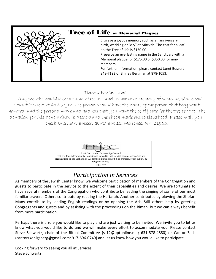| <b>Tree of Life or Memorial Plaques</b>                                                                                                                                                                                                                                                                                                                                     |
|-----------------------------------------------------------------------------------------------------------------------------------------------------------------------------------------------------------------------------------------------------------------------------------------------------------------------------------------------------------------------------|
| Engrave a joyous memory such as an anniversary,<br>birth, wedding or Bar/Bat Mitzvah. The cost for a leaf<br>on the Tree of Life is \$150.00.<br>Preserve an everlasting name in the Sanctuary with a<br>Memorial plaque for \$175.00 or \$350.00 for non-<br>members.<br>For further information, please contact Janet Bossert<br>848-7192 or Shirley Bergman at 878-1053. |

### Plant a tree in Israel

Anyone who would like to plant a tree in Israel in honor or memory of someone, please call Stuart Bossert at 848-7192. The person should have the name of the person that they want honored, and the persons name and address that you want the certificate for the tree sent to. The donation for this honorarium is \$18.00 and the check made out to sisterhood. Please mail your check to Stuart Bossert at PO Box 12, Moriches, NY 11955.



# *Participation in Services*

As members of the Jewish Center know, we welcome participation of members of the Congregation and guests to participate in the service to the extent of their capabilities and desires. We are fortunate to have several members of the Congregation who contribute by leading the singing of some of our most familiar prayers. Others contribute by reading the Haftarah. Another contributes by blowing the Shofar. Many contribute by leading English readings or by opening the Ark. Still others help by greeting Congregants and guests and by assisting with the proceedings on the Bimah. But we can always benefit from more participation.

Perhaps there is a role you would like to play and are just waiting to be invited. We invite you to let us know what you would like to do and we will make every effort to accommodate you. Please contact Steve Schwartz, chair of the Ritual Committee (ss12@optonline.net; 631-878-4880) or Cantor Zach (cantorzkonigsberg@gmail.com; 917-696-0749) and let us know how you would like to participate.

Looking forward to seeing you all at Services. Steve Schwartz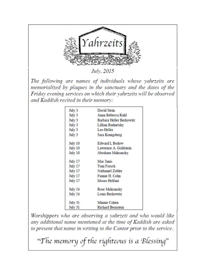

July, 2015

The following are names of individuals whose vahrzeits are memorialized by plaques in the sanctuary and the dates of the Friday evening services on which their yahrzeits will be observed and Kaddish recited in their memory:

| July 3  | David Stein              |
|---------|--------------------------|
| July 3  | Anna Rebecca Kuhl        |
| July 3  | Barbara Heller Berkowitz |
| July 3  | Lillian Rudnetsky        |
| July 3  | Leo Heller               |
| July 3  | Sara Konigsberg          |
| July 10 | Edward L Bodow           |
| July 10 | Lawrence A. Goldstein    |
| July 10 | Abraham Makransky        |
| July 17 | Mac Janis                |
| July 17 | Toni Forsch              |
| July 17 | Nathaniel Zobler         |
| July 17 | Fannie H. Cohn           |
| July 17 | Moses Helfant            |
| July 24 | Rose Makransky           |
| July 24 | Louis Berkowitz          |
| July 31 | Minnie Cohen             |
| July 31 | <b>Richard Bernstein</b> |

Worshippers who are observing a yahrzeit and who would like any additional name mentioned at the time of Kaddish are asked to present that name in writing to the Cantor prior to the service.

"The memory of the righteous is a Blessing"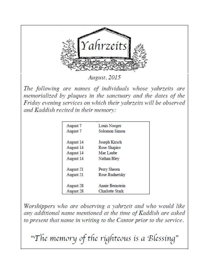

August, 2015

The following are names of individuals whose vahrzeits are memorialized by plaques in the sanctuary and the dates of the Friday evening services on which their yahrzeits will be observed and Kaddish recited in their memory:

| August 7  | Louis Nooger    |  |
|-----------|-----------------|--|
| August 7  | Solomon Simon   |  |
| August 14 | Joseph Kirsch   |  |
| August 14 | Rose Shapiro    |  |
| August 14 | Mae Laube       |  |
| August 14 | Nathan Bley     |  |
| August 21 | Perry Sheren    |  |
| August 21 | Rose Rudnetsky  |  |
| August 28 | Annie Bernstein |  |
| August 28 | Charlotte Stark |  |

Worshippers who are observing a yahrzeit and who would like any additional name mentioned at the time of Kaddish are asked to present that name in writing to the Cantor prior to the service.

"The memory of the righteous is a Blessing"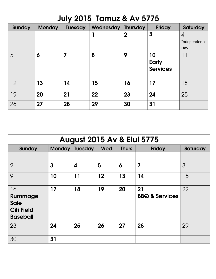| <b>July 2015 Tamuz &amp; Av 5775</b> |               |                |                      |             |                 |              |
|--------------------------------------|---------------|----------------|----------------------|-------------|-----------------|--------------|
| Sunday                               | <b>Monday</b> | <b>Tuesday</b> | Wednesday   Thursday |             | <b>Friday</b>   | Saturday     |
|                                      |               |                |                      | $\mathbf 2$ | 3               | 4            |
|                                      |               |                |                      |             |                 | Independence |
|                                      |               |                |                      |             |                 | Day          |
| 5                                    | 6             | 7              | 8                    | 9           | 10              | 11           |
|                                      |               |                |                      |             | <b>Early</b>    |              |
|                                      |               |                |                      |             | <b>Services</b> |              |
|                                      |               |                |                      |             |                 |              |
| 12                                   | 13            | 14             | 15                   | 16          | 17              | 18           |
|                                      |               |                |                      |             |                 |              |
| 19                                   | 20            | 21             | 22                   | 23          | 24              | 25           |
| 26                                   | 27            | 28             | 29                   | 30          | 31              |              |

| <b>August 2015 Av &amp; Elul 5775</b>                                |               |                  |     |              |                                 |          |
|----------------------------------------------------------------------|---------------|------------------|-----|--------------|---------------------------------|----------|
| <b>Sunday</b>                                                        | <b>Monday</b> | <b>Tuesday</b>   | Wed | <b>Thurs</b> | <b>Friday</b>                   | Saturday |
|                                                                      |               |                  |     |              |                                 |          |
| $\overline{2}$                                                       | $\mathbf{3}$  | $\boldsymbol{4}$ | 5   | 6            | $\overline{\mathbf{z}}$         | 8        |
| 9                                                                    | 10            | 11               | 12  | 13           | 14                              | 15       |
| 16<br>Rummage<br><b>Sale</b><br><b>Citi Field</b><br><b>Baseball</b> | 17            | 18               | 19  | 20           | 21<br><b>BBQ &amp; Services</b> | 22       |
| 23                                                                   | 24            | 25               | 26  | 27           | 28                              | 29       |
| 30                                                                   | 31            |                  |     |              |                                 |          |